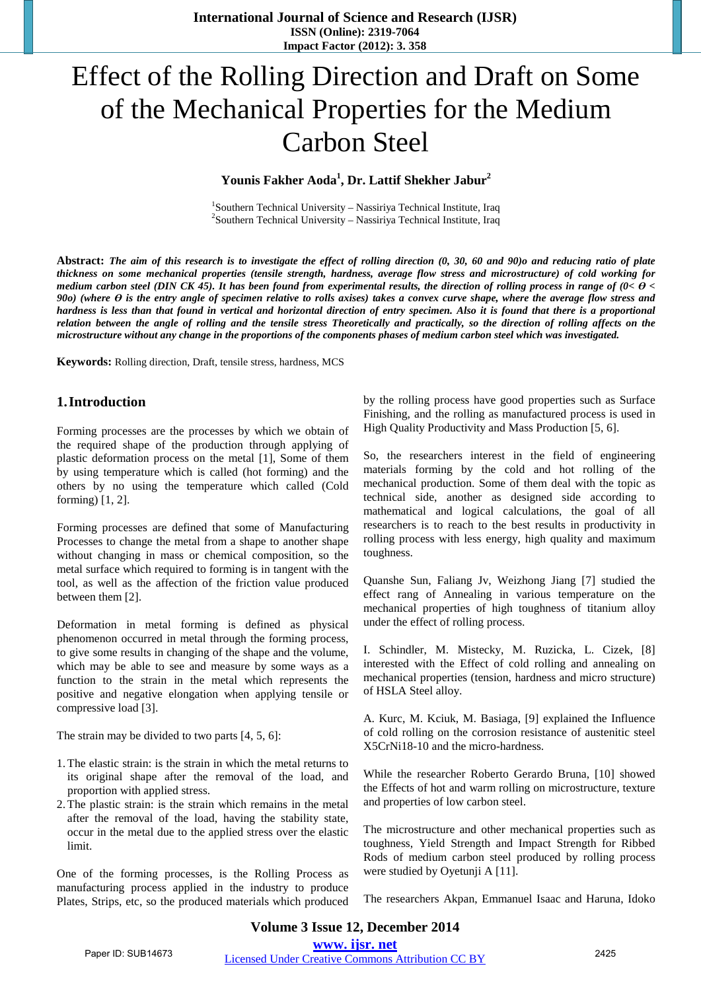**International Journal of Science and Research (IJSR) ISSN (Online): 2319-7064 Impact Factor (2012): 3. 358**

# Effect of the Rolling Direction and Draft on Some of the Mechanical Properties for the Medium Carbon Steel

# **Younis Fakher Aoda<sup>1</sup> , Dr. Lattif Shekher Jabur<sup>2</sup>**

<sup>1</sup>Southern Technical University – Nassiriya Technical Institute, Iraq<br><sup>2</sup>Southern Technical University – Nassiriya Technical Institute, Iraq  $2$ Southern Technical University – Nassiriya Technical Institute, Iraq

Abstract: The aim of this research is to investigate the effect of rolling direction (0, 30, 60 and 90) and reducing ratio of plate *thickness on some mechanical properties (tensile strength, hardness, average flow stress and microstructure) of cold working for*  medium carbon steel (DIN CK 45). It has been found from experimental results, the direction of rolling process in range of  $(0 < \theta <$  $900$ ) (where  $\Theta$  is the entry angle of specimen relative to rolls axises) takes a convex curve shape, where the average flow stress and hardness is less than that found in vertical and horizontal direction of entry specimen. Also it is found that there is a proportional relation between the angle of rolling and the tensile stress Theoretically and practically, so the direction of rolling affects on the microstructure without any change in the proportions of the components phases of medium carbon steel which was investigated.

**Keywords:** Rolling direction, Draft, tensile stress, hardness, MCS

## **1.Introduction**

Forming processes are the processes by which we obtain of the required shape of the production through applying of plastic deformation process on the metal [1], Some of them by using temperature which is called (hot forming) and the others by no using the temperature which called (Cold forming) [1, 2].

Forming processes are defined that some of Manufacturing Processes to change the metal from a shape to another shape without changing in mass or chemical composition, so the metal surface which required to forming is in tangent with the tool, as well as the affection of the friction value produced between them [2].

Deformation in metal forming is defined as physical phenomenon occurred in metal through the forming process, to give some results in changing of the shape and the volume, which may be able to see and measure by some ways as a function to the strain in the metal which represents the positive and negative elongation when applying tensile or compressive load [3].

The strain may be divided to two parts [4, 5, 6]:

- 1.The elastic strain: is the strain in which the metal returns to its original shape after the removal of the load, and proportion with applied stress.
- 2.The plastic strain: is the strain which remains in the metal after the removal of the load, having the stability state, occur in the metal due to the applied stress over the elastic limit.

One of the forming processes, is the Rolling Process as manufacturing process applied in the industry to produce Plates, Strips, etc, so the produced materials which produced by the rolling process have good properties such as Surface Finishing, and the rolling as manufactured process is used in High Quality Productivity and Mass Production [5, 6].

So, the researchers interest in the field of engineering materials forming by the cold and hot rolling of the mechanical production. Some of them deal with the topic as technical side, another as designed side according to mathematical and logical calculations, the goal of all researchers is to reach to the best results in productivity in rolling process with less energy, high quality and maximum toughness.

Quanshe Sun, Faliang Jv, Weizhong Jiang [7] studied the effect rang of Annealing in various temperature on the mechanical properties of high toughness of titanium alloy under the effect of rolling process.

I. Schindler, M. Mistecky, M. Ruzicka, L. Cizek, [8] interested with the Effect of cold rolling and annealing on mechanical properties (tension, hardness and micro structure) of HSLA Steel alloy.

A. Kurc, M. Kciuk, M. Basiaga, [9] explained the Influence of cold rolling on the corrosion resistance of austenitic steel X5CrNi18-10 and the micro-hardness.

While the researcher Roberto Gerardo Bruna, [10] showed the Effects of hot and warm rolling on microstructure, texture and properties of low carbon steel.

The microstructure and other mechanical properties such as toughness, Yield Strength and Impact Strength for Ribbed Rods of medium carbon steel produced by rolling process were studied by Oyetunji A [11].

The researchers Akpan, Emmanuel Isaac and Haruna, Idoko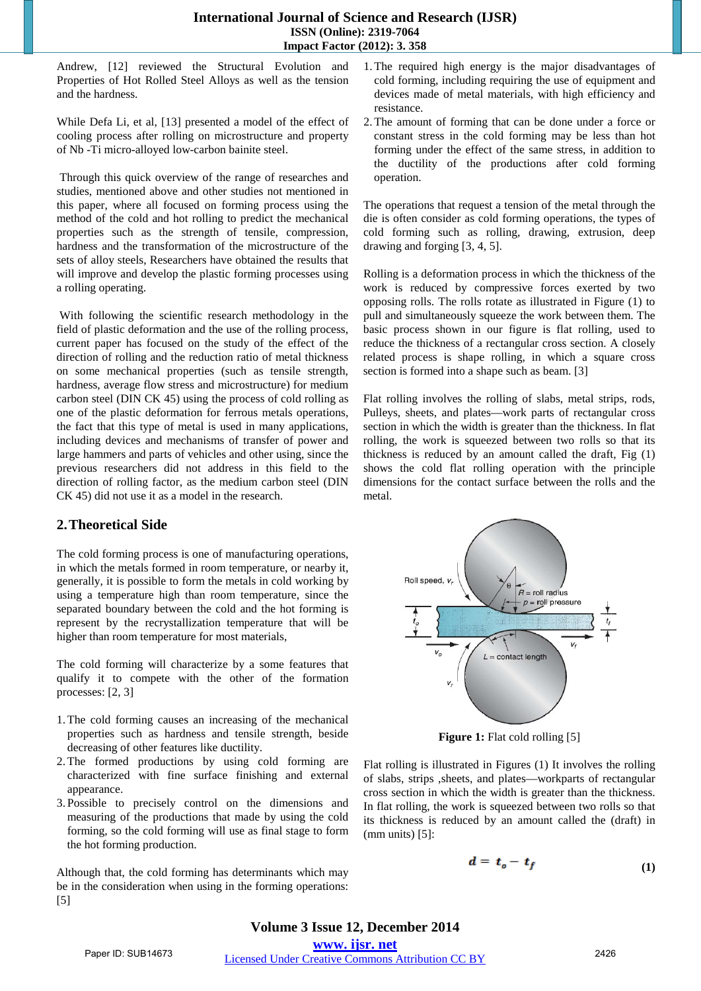Andrew, [12] reviewed the Structural Evolution and Properties of Hot Rolled Steel Alloys as well as the tension and the hardness.

While Defa Li, et al, [13] presented a model of the effect of cooling process after rolling on microstructure and property of Nb -Ti micro-alloyed low-carbon bainite steel.

Through this quick overview of the range of researches and studies, mentioned above and other studies not mentioned in this paper, where all focused on forming process using the method of the cold and hot rolling to predict the mechanical properties such as the strength of tensile, compression, hardness and the transformation of the microstructure of the sets of alloy steels, Researchers have obtained the results that will improve and develop the plastic forming processes using a rolling operating.

With following the scientific research methodology in the field of plastic deformation and the use of the rolling process, current paper has focused on the study of the effect of the direction of rolling and the reduction ratio of metal thickness on some mechanical properties (such as tensile strength, hardness, average flow stress and microstructure) for medium carbon steel (DIN CK 45) using the process of cold rolling as one of the plastic deformation for ferrous metals operations, the fact that this type of metal is used in many applications, including devices and mechanisms of transfer of power and large hammers and parts of vehicles and other using, since the previous researchers did not address in this field to the direction of rolling factor, as the medium carbon steel (DIN CK 45) did not use it as a model in the research.

# **2.Theoretical Side**

The cold forming process is one of manufacturing operations, in which the metals formed in room temperature, or nearby it, generally, it is possible to form the metals in cold working by using a temperature high than room temperature, since the separated boundary between the cold and the hot forming is represent by the recrystallization temperature that will be higher than room temperature for most materials,

The cold forming will characterize by a some features that qualify it to compete with the other of the formation processes: [2, 3]

- 1.The cold forming causes an increasing of the mechanical properties such as hardness and tensile strength, beside decreasing of other features like ductility.
- 2.The formed productions by using cold forming are characterized with fine surface finishing and external appearance.
- 3. Possible to precisely control on the dimensions and measuring of the productions that made by using the cold forming, so the cold forming will use as final stage to form the hot forming production.

Although that, the cold forming has determinants which may be in the consideration when using in the forming operations: [5]

- 1.The required high energy is the major disadvantages of cold forming, including requiring the use of equipment and devices made of metal materials, with high efficiency and resistance.
- 2.The amount of forming that can be done under a force or constant stress in the cold forming may be less than hot forming under the effect of the same stress, in addition to the ductility of the productions after cold forming operation.

The operations that request a tension of the metal through the die is often consider as cold forming operations, the types of cold forming such as rolling, drawing, extrusion, deep drawing and forging [3, 4, 5].

Rolling is a deformation process in which the thickness of the work is reduced by compressive forces exerted by two opposing rolls. The rolls rotate as illustrated in Figure (1) to pull and simultaneously squeeze the work between them. The basic process shown in our figure is flat rolling, used to reduce the thickness of a rectangular cross section. A closely related process is shape rolling, in which a square cross section is formed into a shape such as beam. [3]

Flat rolling involves the rolling of slabs, metal strips, rods, Pulleys, sheets, and plates—work parts of rectangular cross section in which the width is greater than the thickness. In flat rolling, the work is squeezed between two rolls so that its thickness is reduced by an amount called the draft, Fig (1) shows the cold flat rolling operation with the principle dimensions for the contact surface between the rolls and the metal.



**Figure 1:** Flat cold rolling [5]

Flat rolling is illustrated in Figures (1) It involves the rolling of slabs, strips ,sheets, and plates—workparts of rectangular cross section in which the width is greater than the thickness. In flat rolling, the work is squeezed between two rolls so that its thickness is reduced by an amount called the (draft) in  $(mm units)$  [5]:

$$
d = t_o - t_f \tag{1}
$$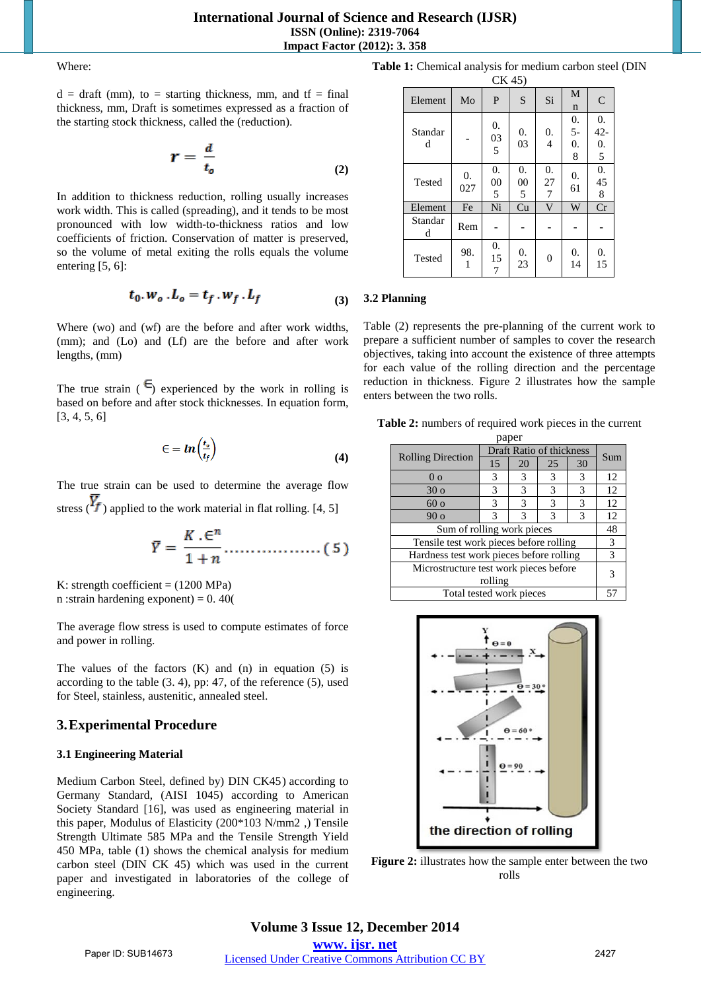Where:

 $d = \text{draff (mm)}$ , to = starting thickness, mm, and tf = final thickness, mm, Draft is sometimes expressed as a fraction of the starting stock thickness, called the (reduction).

$$
r = \frac{d}{t_o} \tag{2}
$$

In addition to thickness reduction, rolling usually increases work width. This is called (spreading), and it tends to be most pronounced with low width-to-thickness ratios and low coefficients of friction. Conservation of matter is preserved, so the volume of metal exiting the rolls equals the volume entering [5, 6]:

$$
t_0. w_o. L_o = t_f. w_f. L_f \tag{3}
$$

Where (wo) and (wf) are the before and after work widths, (mm); and (Lo) and (Lf) are the before and after work lengths, (mm)

The true strain  $(\epsilon)$  experienced by the work in rolling is based on before and after stock thicknesses. In equation form, [3, 4, 5, 6]

$$
\epsilon = \ln \left( \frac{t_o}{t_f} \right) \tag{4}
$$

The true strain can be used to determine the average flow stress ( $\overline{Y}_f$ ) applied to the work material in flat rolling. [4, 5]

$$
\overline{Y} = \frac{K \cdot \epsilon^n}{1 + n} \dots \dots \dots \dots \dots \dots \quad (5)
$$

K: strength coefficient  $= (1200 \text{ MPa})$ n : strain hardening exponent) =  $0.40($ 

The average flow stress is used to compute estimates of force and power in rolling.

The values of the factors  $(K)$  and  $(n)$  in equation  $(5)$  is according to the table (3. 4), pp: 47, of the reference (5), used for Steel, stainless, austenitic, annealed steel.

# **3.Experimental Procedure**

#### **3.1 Engineering Material**

Medium Carbon Steel, defined by) DIN CK45) according to Germany Standard, (AISI 1045) according to American Society Standard [16], was used as engineering material in this paper, Modulus of Elasticity (200\*103 N/mm2 ,) Tensile Strength Ultimate 585 MPa and the Tensile Strength Yield 450 MPa, table (1) shows the chemical analysis for medium carbon steel (DIN CK 45) which was used in the current paper and investigated in laboratories of the college of engineering.

**Table 1:** Chemical analysis for medium carbon steel (DIN

| CK 45        |           |               |                             |                |                       |                                       |  |  |  |
|--------------|-----------|---------------|-----------------------------|----------------|-----------------------|---------------------------------------|--|--|--|
| Element      | Mo        | P             | S                           | Si             | M<br>$\mathbf n$      | $\overline{C}$                        |  |  |  |
| Standar<br>d |           | 0.<br>03<br>5 | 0.<br>03                    | 0.<br>4        | 0.<br>$5-$<br>0.<br>8 | 0.<br>$42 -$<br>$\overline{0}$ .<br>5 |  |  |  |
| Tested       | 0.<br>027 | 0.<br>00<br>5 | $\overline{0}$ .<br>00<br>5 | 0.<br>27<br>7  | 0.<br>61              | $\boldsymbol{0}$ .<br>45<br>8         |  |  |  |
| Element      | Fe        | Ni            | Cu                          | $\mathbf{V}$   | W                     | Cr                                    |  |  |  |
| Standar<br>d | Rem       |               |                             |                |                       |                                       |  |  |  |
| Tested       | 98.<br>1  | 0.<br>15      | 0.<br>23                    | $\overline{0}$ | 0.<br>14              | 0.<br>15                              |  |  |  |

#### **3.2 Planning**

Table (2) represents the pre-planning of the current work to prepare a sufficient number of samples to cover the research objectives, taking into account the existence of three attempts for each value of the rolling direction and the percentage reduction in thickness. Figure 2 illustrates how the sample enters between the two rolls.

**Table 2:** numbers of required work pieces in the current paper

| pupu                                     |                          |     |    |    |    |  |  |  |
|------------------------------------------|--------------------------|-----|----|----|----|--|--|--|
| <b>Rolling Direction</b>                 | Draft Ratio of thickness | Sum |    |    |    |  |  |  |
|                                          | 15                       | 20  | 25 | 30 |    |  |  |  |
| 0 <sub>0</sub>                           | 3                        | 3   | 3  | 3  | 12 |  |  |  |
| 30 <sub>o</sub>                          | 3                        | 3   | 3  | 3  | 12 |  |  |  |
| 60 <sub>o</sub>                          | 3                        | 3   | 3  | 3  | 12 |  |  |  |
| 90 <sub>o</sub>                          | 3                        | 3   | 3  | 3  | 12 |  |  |  |
| Sum of rolling work pieces               |                          |     |    |    |    |  |  |  |
| Tensile test work pieces before rolling  |                          |     |    |    |    |  |  |  |
| Hardness test work pieces before rolling |                          |     |    |    |    |  |  |  |
| Microstructure test work pieces before   |                          |     |    |    |    |  |  |  |
| rolling                                  |                          |     |    |    |    |  |  |  |
| Total tested work pieces                 |                          |     |    |    |    |  |  |  |



**Figure 2:** illustrates how the sample enter between the two rolls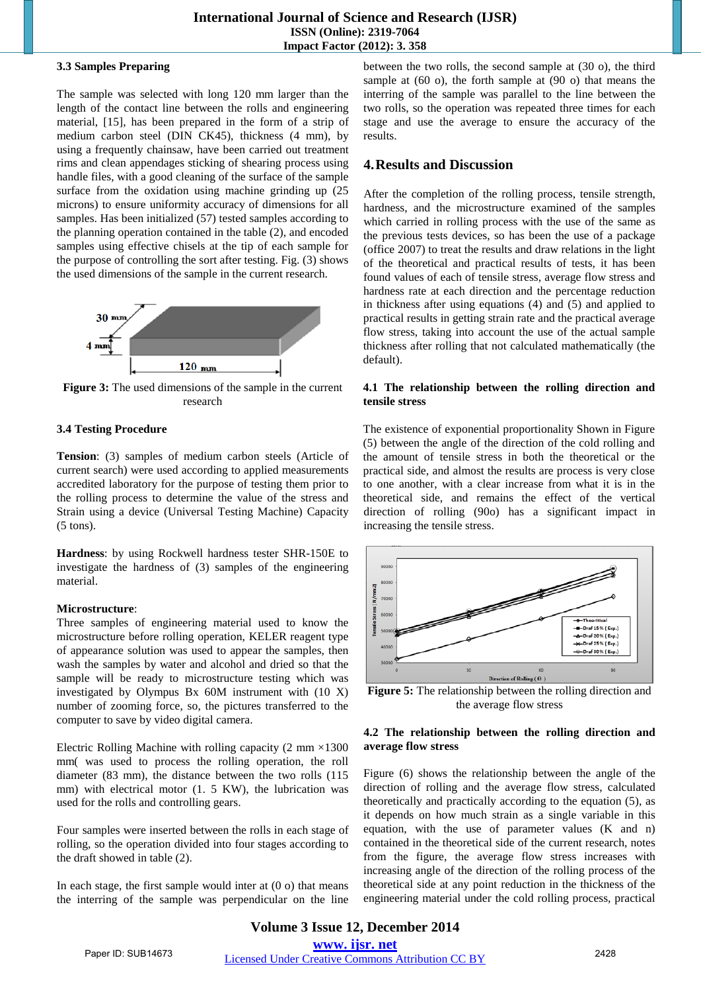#### **3.3 Samples Preparing**

The sample was selected with long 120 mm larger than the length of the contact line between the rolls and engineering material, [15], has been prepared in the form of a strip of medium carbon steel (DIN CK45), thickness (4 mm), by using a frequently chainsaw, have been carried out treatment rims and clean appendages sticking of shearing process using handle files, with a good cleaning of the surface of the sample surface from the oxidation using machine grinding up  $(25)$ microns) to ensure uniformity accuracy of dimensions for all samples. Has been initialized (57) tested samples according to the planning operation contained in the table (2), and encoded samples using effective chisels at the tip of each sample for the purpose of controlling the sort after testing. Fig. (3) shows the used dimensions of the sample in the current research.



**Figure 3:** The used dimensions of the sample in the current research

## **3.4 Testing Procedure**

**Tension**: (3) samples of medium carbon steels (Article of current search) were used according to applied measurements accredited laboratory for the purpose of testing them prior to the rolling process to determine the value of the stress and Strain using a device (Universal Testing Machine) Capacity (5 tons).

**Hardness**: by using Rockwell hardness tester SHR-150E to investigate the hardness of (3) samples of the engineering material.

#### **Microstructure**:

Three samples of engineering material used to know the microstructure before rolling operation, KELER reagent type of appearance solution was used to appear the samples, then wash the samples by water and alcohol and dried so that the sample will be ready to microstructure testing which was investigated by Olympus Bx 60M instrument with (10 X) number of zooming force, so, the pictures transferred to the computer to save by video digital camera.

Electric Rolling Machine with rolling capacity  $(2 \text{ mm} \times 1300)$ mm( was used to process the rolling operation, the roll diameter (83 mm), the distance between the two rolls (115 mm) with electrical motor (1. 5 KW), the lubrication was used for the rolls and controlling gears.

Four samples were inserted between the rolls in each stage of rolling, so the operation divided into four stages according to the draft showed in table (2).

In each stage, the first sample would inter at  $(0 \circ)$  that means the interring of the sample was perpendicular on the line between the two rolls, the second sample at (30 o), the third sample at (60 o), the forth sample at (90 o) that means the interring of the sample was parallel to the line between the two rolls, so the operation was repeated three times for each stage and use the average to ensure the accuracy of the results.

# **4.Results and Discussion**

After the completion of the rolling process, tensile strength, hardness, and the microstructure examined of the samples which carried in rolling process with the use of the same as the previous tests devices, so has been the use of a package (office 2007) to treat the results and draw relations in the light of the theoretical and practical results of tests, it has been found values of each of tensile stress, average flow stress and hardness rate at each direction and the percentage reduction in thickness after using equations (4) and (5) and applied to practical results in getting strain rate and the practical average flow stress, taking into account the use of the actual sample thickness after rolling that not calculated mathematically (the default).

#### **4.1 The relationship between the rolling direction and tensile stress**

The existence of exponential proportionality Shown in Figure (5) between the angle of the direction of the cold rolling and the amount of tensile stress in both the theoretical or the practical side, and almost the results are process is very close to one another, with a clear increase from what it is in the theoretical side, and remains the effect of the vertical direction of rolling (90o) has a significant impact in increasing the tensile stress.



**Figure 5:** The relationship between the rolling direction and the average flow stress

#### **4.2 The relationship between the rolling direction and average flow stress**

Figure (6) shows the relationship between the angle of the direction of rolling and the average flow stress, calculated theoretically and practically according to the equation (5), as it depends on how much strain as a single variable in this equation, with the use of parameter values (K and n) contained in the theoretical side of the current research, notes from the figure, the average flow stress increases with increasing angle of the direction of the rolling process of the theoretical side at any point reduction in the thickness of the engineering material under the cold rolling process, practical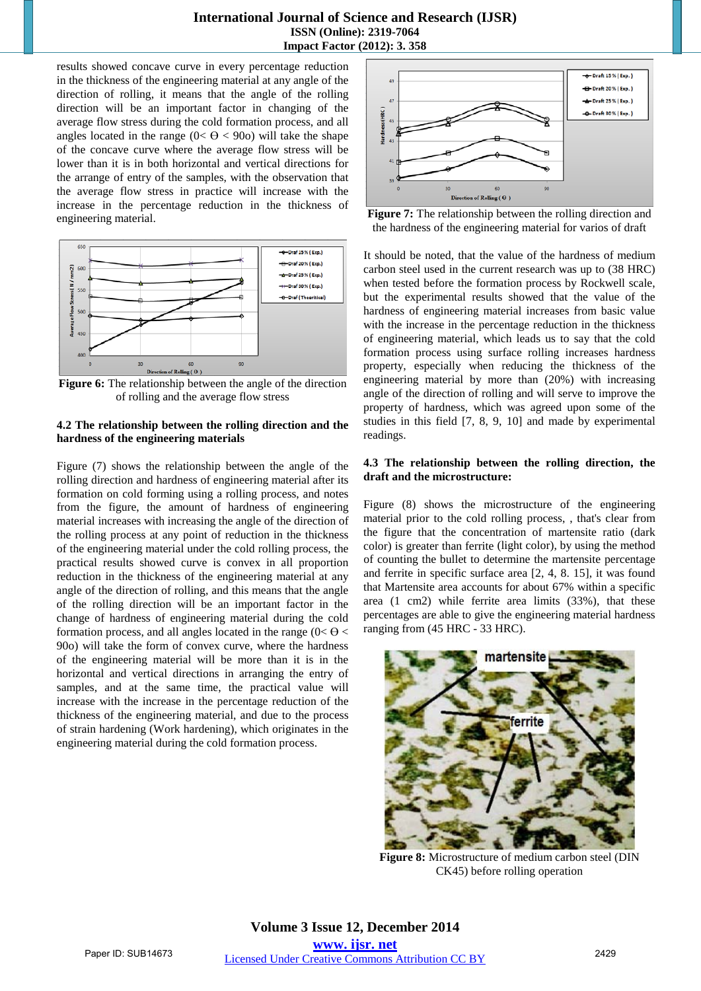results showed concave curve in every percentage reduction in the thickness of the engineering material at any angle of the direction of rolling, it means that the angle of the rolling direction will be an important factor in changing of the average flow stress during the cold formation process, and all angles located in the range  $(0 < \Theta < 90)$  will take the shape of the concave curve where the average flow stress will be lower than it is in both horizontal and vertical directions for the arrange of entry of the samples, with the observation that the average flow stress in practice will increase with the increase in the percentage reduction in the thickness of engineering material.



**Figure 6:** The relationship between the angle of the direction of rolling and the average flow stress

#### **4.2 The relationship between the rolling direction and the hardness of the engineering materials**

Figure (7) shows the relationship between the angle of the rolling direction and hardness of engineering material after its formation on cold forming using a rolling process, and notes from the figure, the amount of hardness of engineering material increases with increasing the angle of the direction of the rolling process at any point of reduction in the thickness of the engineering material under the cold rolling process, the practical results showed curve is convex in all proportion reduction in the thickness of the engineering material at any angle of the direction of rolling, and this means that the angle of the rolling direction will be an important factor in the change of hardness of engineering material during the cold formation process, and all angles located in the range  $(0 < \theta <$ 90o) will take the form of convex curve, where the hardness of the engineering material will be more than it is in the horizontal and vertical directions in arranging the entry of samples, and at the same time, the practical value will increase with the increase in the percentage reduction of the thickness of the engineering material, and due to the process of strain hardening (Work hardening), which originates in the engineering material during the cold formation process.





It should be noted, that the value of the hardness of medium carbon steel used in the current research was up to (38 HRC) when tested before the formation process by Rockwell scale, but the experimental results showed that the value of the hardness of engineering material increases from basic value with the increase in the percentage reduction in the thickness of engineering material, which leads us to say that the cold formation process using surface rolling increases hardness property, especially when reducing the thickness of the engineering material by more than (20%) with increasing angle of the direction of rolling and will serve to improve the property of hardness, which was agreed upon some of the studies in this field [7, 8, 9, 10] and made by experimental readings.

#### **4.3 The relationship between the rolling direction, the draft and the microstructure:**

Figure (8) shows the microstructure of the engineering material prior to the cold rolling process, , that's clear from the figure that the concentration of martensite ratio (dark color) is greater than ferrite (light color), by using the method of counting the bullet to determine the martensite percentage and ferrite in specific surface area [2, 4, 8. 15], it was found that Martensite area accounts for about 67% within a specific area (1 cm2) while ferrite area limits (33%), that these percentages are able to give the engineering material hardness ranging from (45 HRC - 33 HRC).



**Figure 8:** Microstructure of medium carbon steel (DIN CK45) before rolling operation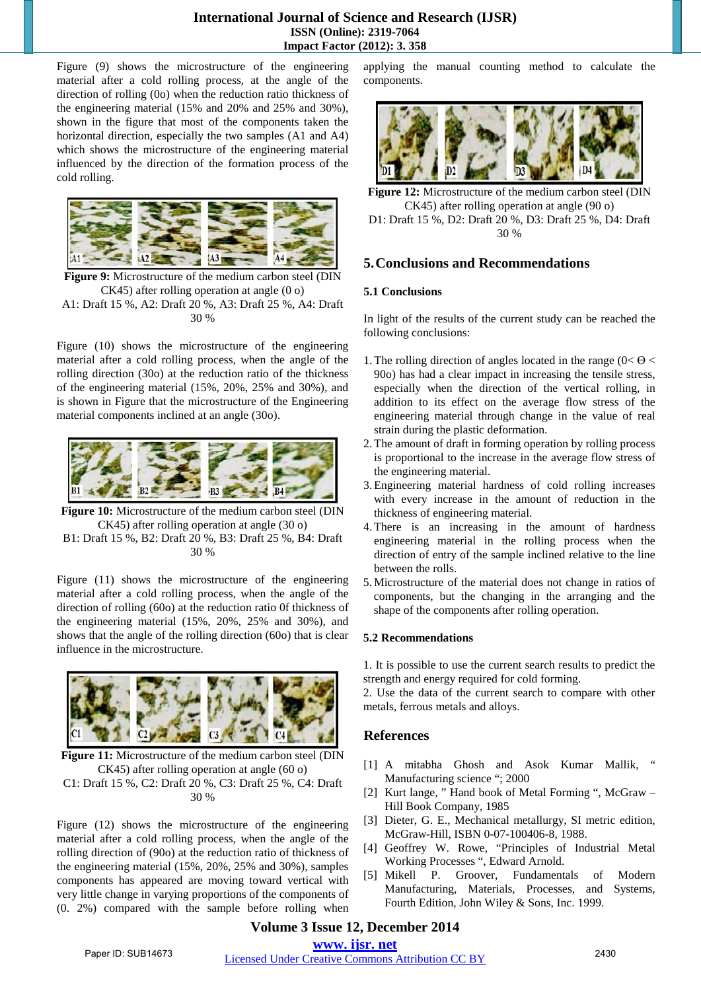## **International Journal of Science and Research (IJSR) ISSN (Online): 2319-7064 Impact Factor (2012): 3. 358**

Figure (9) shows the microstructure of the engineering material after a cold rolling process, at the angle of the direction of rolling (0o) when the reduction ratio thickness of the engineering material (15% and 20% and 25% and 30%), shown in the figure that most of the components taken the horizontal direction, especially the two samples (A1 and A4) which shows the microstructure of the engineering material influenced by the direction of the formation process of the cold rolling.



**Figure 9:** Microstructure of the medium carbon steel (DIN CK45) after rolling operation at angle (0 o) A1: Draft 15 %, A2: Draft 20 %, A3: Draft 25 %, A4: Draft 30 %

Figure (10) shows the microstructure of the engineering material after a cold rolling process, when the angle of the rolling direction (30o) at the reduction ratio of the thickness of the engineering material (15%, 20%, 25% and 30%), and is shown in Figure that the microstructure of the Engineering material components inclined at an angle (30o).



**Figure 10:** Microstructure of the medium carbon steel (DIN CK45) after rolling operation at angle (30 o) B1: Draft 15 %, B2: Draft 20 %, B3: Draft 25 %, B4: Draft 30 %

Figure (11) shows the microstructure of the engineering material after a cold rolling process, when the angle of the direction of rolling (60o) at the reduction ratio 0f thickness of the engineering material (15%, 20%, 25% and 30%), and shows that the angle of the rolling direction (60o) that is clear influence in the microstructure.



**Figure 11:** Microstructure of the medium carbon steel (DIN CK45) after rolling operation at angle (60 o)

C1: Draft 15 %, C2: Draft 20 %, C3: Draft 25 %, C4: Draft 30 %

Figure (12) shows the microstructure of the engineering material after a cold rolling process, when the angle of the rolling direction of (90o) at the reduction ratio of thickness of the engineering material (15%, 20%, 25% and 30%), samples components has appeared are moving toward vertical with very little change in varying proportions of the components of (0. 2%) compared with the sample before rolling when applying the manual counting method to calculate the components.



**Figure 12:** Microstructure of the medium carbon steel (DIN CK45) after rolling operation at angle (90 o) D1: Draft 15 %, D2: Draft 20 %, D3: Draft 25 %, D4: Draft 30 %

# **5.Conclusions and Recommendations**

## **5.1 Conclusions**

In light of the results of the current study can be reached the following conclusions:

- 1. The rolling direction of angles located in the range ( $0 < \theta <$ 90o) has had a clear impact in increasing the tensile stress, especially when the direction of the vertical rolling, in addition to its effect on the average flow stress of the engineering material through change in the value of real strain during the plastic deformation.
- 2.The amount of draft in forming operation by rolling process is proportional to the increase in the average flow stress of the engineering material.
- 3.Engineering material hardness of cold rolling increases with every increase in the amount of reduction in the thickness of engineering material.
- 4.There is an increasing in the amount of hardness engineering material in the rolling process when the direction of entry of the sample inclined relative to the line between the rolls.
- 5.Microstructure of the material does not change in ratios of components, but the changing in the arranging and the shape of the components after rolling operation.

#### **5.2 Recommendations**

1. It is possible to use the current search results to predict the strength and energy required for cold forming.

2. Use the data of the current search to compare with other metals, ferrous metals and alloys.

# **References**

- [1] A mitabha Ghosh and Asok Kumar Mallik, " Manufacturing science "; 2000
- [2] Kurt lange, " Hand book of Metal Forming ", McGraw Hill Book Company, 1985
- [3] Dieter, G. E., Mechanical metallurgy, SI metric edition, McGraw-Hill, ISBN 0-07-100406-8, 1988.
- [4] Geoffrey W. Rowe, "Principles of Industrial Metal Working Processes ", Edward Arnold.
- [5] Mikell P. Groover, Fundamentals of Modern Manufacturing, Materials, Processes, and Systems, Fourth Edition, John Wiley & Sons, Inc. 1999.

## **Volume 3 Issue 12, December 2014 www. ijsr. net**